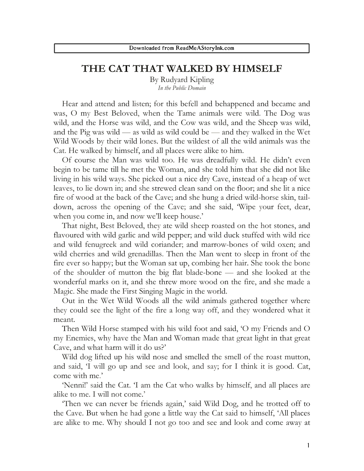## **THE CAT THAT WALKED BY HIMSELF**

By Rudyard Kipling *In the Public Domain*

Hear and attend and listen; for this befell and behappened and became and was, O my Best Beloved, when the Tame animals were wild. The Dog was wild, and the Horse was wild, and the Cow was wild, and the Sheep was wild, and the Pig was wild — as wild as wild could be — and they walked in the Wet Wild Woods by their wild lones. But the wildest of all the wild animals was the Cat. He walked by himself, and all places were alike to him.

Of course the Man was wild too. He was dreadfully wild. He didn't even begin to be tame till he met the Woman, and she told him that she did not like living in his wild ways. She picked out a nice dry Cave, instead of a heap of wet leaves, to lie down in; and she strewed clean sand on the floor; and she lit a nice fire of wood at the back of the Cave; and she hung a dried wild-horse skin, taildown, across the opening of the Cave; and she said, 'Wipe your feet, dear, when you come in, and now we'll keep house.'

That night, Best Beloved, they ate wild sheep roasted on the hot stones, and flavoured with wild garlic and wild pepper; and wild duck stuffed with wild rice and wild fenugreek and wild coriander; and marrow-bones of wild oxen; and wild cherries and wild grenadillas. Then the Man went to sleep in front of the fire ever so happy; but the Woman sat up, combing her hair. She took the bone of the shoulder of mutton the big flat blade-bone — and she looked at the wonderful marks on it, and she threw more wood on the fire, and she made a Magic. She made the First Singing Magic in the world.

Out in the Wet Wild Woods all the wild animals gathered together where they could see the light of the fire a long way off, and they wondered what it meant.

Then Wild Horse stamped with his wild foot and said, 'O my Friends and O my Enemies, why have the Man and Woman made that great light in that great Cave, and what harm will it do us?'

Wild dog lifted up his wild nose and smelled the smell of the roast mutton, and said, 'I will go up and see and look, and say; for I think it is good. Cat, come with me.'

'Nenni!' said the Cat. 'I am the Cat who walks by himself, and all places are alike to me. I will not come.'

'Then we can never be friends again,' said Wild Dog, and he trotted off to the Cave. But when he had gone a little way the Cat said to himself, 'All places are alike to me. Why should I not go too and see and look and come away at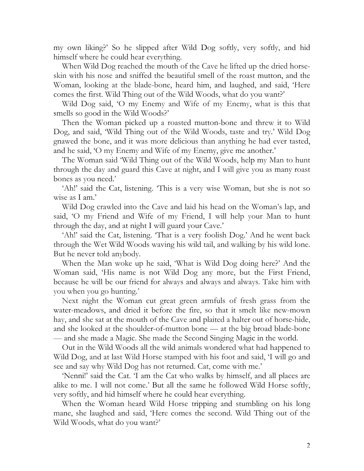my own liking?' So he slipped after Wild Dog softly, very softly, and hid himself where he could hear everything.

When Wild Dog reached the mouth of the Cave he lifted up the dried horseskin with his nose and sniffed the beautiful smell of the roast mutton, and the Woman, looking at the blade-bone, heard him, and laughed, and said, 'Here comes the first. Wild Thing out of the Wild Woods, what do you want?'

Wild Dog said, 'O my Enemy and Wife of my Enemy, what is this that smells so good in the Wild Woods?'

Then the Woman picked up a roasted mutton-bone and threw it to Wild Dog, and said, 'Wild Thing out of the Wild Woods, taste and try.' Wild Dog gnawed the bone, and it was more delicious than anything he had ever tasted, and he said, 'O my Enemy and Wife of my Enemy, give me another.'

The Woman said 'Wild Thing out of the Wild Woods, help my Man to hunt through the day and guard this Cave at night, and I will give you as many roast bones as you need.'

'Ah!' said the Cat, listening. 'This is a very wise Woman, but she is not so wise as I am.'

Wild Dog crawled into the Cave and laid his head on the Woman's lap, and said, 'O my Friend and Wife of my Friend, I will help your Man to hunt through the day, and at night I will guard your Cave.'

'Ah!' said the Cat, listening. 'That is a very foolish Dog.' And he went back through the Wet Wild Woods waving his wild tail, and walking by his wild lone. But he never told anybody.

When the Man woke up he said, 'What is Wild Dog doing here?' And the Woman said, 'His name is not Wild Dog any more, but the First Friend, because he will be our friend for always and always and always. Take him with you when you go hunting.'

Next night the Woman cut great green armfuls of fresh grass from the water-meadows, and dried it before the fire, so that it smelt like new-mown hay, and she sat at the mouth of the Cave and plaited a halter out of horse-hide, and she looked at the shoulder-of-mutton bone — at the big broad blade-bone — and she made a Magic. She made the Second Singing Magic in the world.

Out in the Wild Woods all the wild animals wondered what had happened to Wild Dog, and at last Wild Horse stamped with his foot and said, 'I will go and see and say why Wild Dog has not returned. Cat, come with me.'

'Nenni!' said the Cat. 'I am the Cat who walks by himself, and all places are alike to me. I will not come.' But all the same he followed Wild Horse softly, very softly, and hid himself where he could hear everything.

When the Woman heard Wild Horse tripping and stumbling on his long mane, she laughed and said, 'Here comes the second. Wild Thing out of the Wild Woods, what do you want?'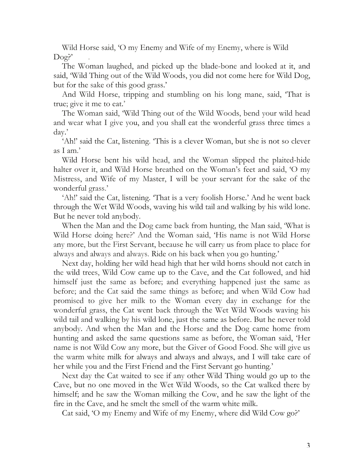Wild Horse said, 'O my Enemy and Wife of my Enemy, where is Wild  $\text{Dog?}'$ 

The Woman laughed, and picked up the blade-bone and looked at it, and said, 'Wild Thing out of the Wild Woods, you did not come here for Wild Dog, but for the sake of this good grass.'

And Wild Horse, tripping and stumbling on his long mane, said, 'That is true; give it me to eat.'

The Woman said, 'Wild Thing out of the Wild Woods, bend your wild head and wear what I give you, and you shall eat the wonderful grass three times a day.'

'Ah!' said the Cat, listening. 'This is a clever Woman, but she is not so clever as I am.'

Wild Horse bent his wild head, and the Woman slipped the plaited-hide halter over it, and Wild Horse breathed on the Woman's feet and said, 'O my Mistress, and Wife of my Master, I will be your servant for the sake of the wonderful grass.'

'Ah!' said the Cat, listening. 'That is a very foolish Horse.' And he went back through the Wet Wild Woods, waving his wild tail and walking by his wild lone. But he never told anybody.

When the Man and the Dog came back from hunting, the Man said, 'What is Wild Horse doing here?' And the Woman said, 'His name is not Wild Horse any more, but the First Servant, because he will carry us from place to place for always and always and always. Ride on his back when you go hunting.'

Next day, holding her wild head high that her wild horns should not catch in the wild trees, Wild Cow came up to the Cave, and the Cat followed, and hid himself just the same as before; and everything happened just the same as before; and the Cat said the same things as before; and when Wild Cow had promised to give her milk to the Woman every day in exchange for the wonderful grass, the Cat went back through the Wet Wild Woods waving his wild tail and walking by his wild lone, just the same as before. But he never told anybody. And when the Man and the Horse and the Dog came home from hunting and asked the same questions same as before, the Woman said, 'Her name is not Wild Cow any more, but the Giver of Good Food. She will give us the warm white milk for always and always and always, and I will take care of her while you and the First Friend and the First Servant go hunting.'

Next day the Cat waited to see if any other Wild Thing would go up to the Cave, but no one moved in the Wet Wild Woods, so the Cat walked there by himself; and he saw the Woman milking the Cow, and he saw the light of the fire in the Cave, and he smelt the smell of the warm white milk.

Cat said, 'O my Enemy and Wife of my Enemy, where did Wild Cow go?'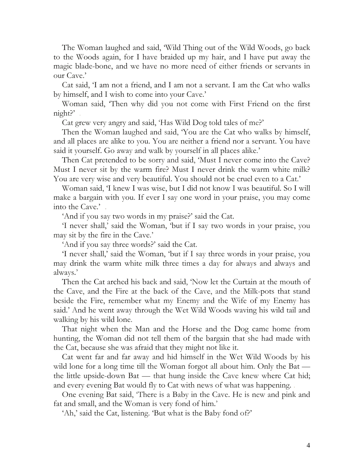The Woman laughed and said, 'Wild Thing out of the Wild Woods, go back to the Woods again, for I have braided up my hair, and I have put away the magic blade-bone, and we have no more need of either friends or servants in our Cave.'

Cat said, 'I am not a friend, and I am not a servant. I am the Cat who walks by himself, and I wish to come into your Cave.'

Woman said, 'Then why did you not come with First Friend on the first night?'

Cat grew very angry and said, 'Has Wild Dog told tales of me?'

Then the Woman laughed and said, 'You are the Cat who walks by himself, and all places are alike to you. You are neither a friend nor a servant. You have said it yourself. Go away and walk by yourself in all places alike.'

Then Cat pretended to be sorry and said, 'Must I never come into the Cave? Must I never sit by the warm fire? Must I never drink the warm white milk? You are very wise and very beautiful. You should not be cruel even to a Cat.'

Woman said, 'I knew I was wise, but I did not know I was beautiful. So I will make a bargain with you. If ever I say one word in your praise, you may come into the Cave.' .

'And if you say two words in my praise?' said the Cat.

'I never shall,' said the Woman, 'but if I say two words in your praise, you may sit by the fire in the Cave.'

'And if you say three words?' said the Cat.

'I never shall,' said the Woman, 'but if I say three words in your praise, you may drink the warm white milk three times a day for always and always and always.'

Then the Cat arched his back and said, 'Now let the Curtain at the mouth of the Cave, and the Fire at the back of the Cave, and the Milk-pots that stand beside the Fire, remember what my Enemy and the Wife of my Enemy has said.' And he went away through the Wet Wild Woods waving his wild tail and walking by his wild lone.

That night when the Man and the Horse and the Dog came home from hunting, the Woman did not tell them of the bargain that she had made with the Cat, because she was afraid that they might not like it.

Cat went far and far away and hid himself in the Wet Wild Woods by his wild lone for a long time till the Woman forgot all about him. Only the Bat the little upside-down Bat — that hung inside the Cave knew where Cat hid; and every evening Bat would fly to Cat with news of what was happening. .

One evening Bat said, 'There is a Baby in the Cave. He is new and pink and fat and small, and the Woman is very fond of him.'

'Ah,' said the Cat, listening. 'But what is the Baby fond of?'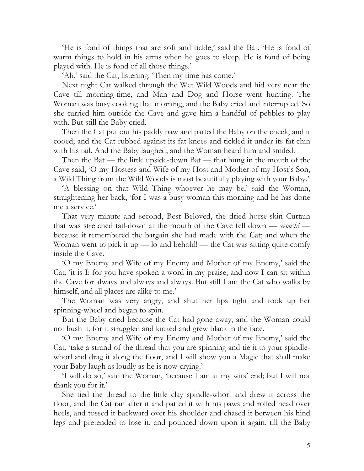'He is fond of things that are soft and tickle,' said the Bat. 'He is fond of warm things to hold in his arms when he goes to sleep. He is fond of being played with. He is fond of all those things.'

'Ah,' said the Cat, listening. 'Then my time has come.'

Next night Cat walked through the Wet Wild Woods and hid very near the Cave till morning-time, and Man and Dog and Horse went hunting. The Woman was busy cooking that morning, and the Baby cried and interrupted. So she carried him outside the Cave and gave him a handful of pebbles to play with. But still the Baby cried.

Then the Cat put out his paddy paw and patted the Baby on the cheek, and it cooed; and the Cat rubbed against its fat knees and tickled it under its fat chin with his tail. And the Baby laughed; and the Woman heard him and smiled.

Then the Bat — the little upside-down Bat — that hung in the mouth of the Cave said, 'O my Hostess and Wife of my Host and Mother of my Host's Son, a Wild Thing from the Wild Woods is most beautifully playing with your Baby.'

'A blessing on that Wild Thing whoever he may be,' said the Woman, straightening her back, 'for I was a busy woman this morning and he has done me a service.'

That very minute and second, Best Beloved, the dried horse-skin Curtain that was stretched tail-down at the mouth of the Cave fell down — w*oosh!*  because it remembered the bargain she had made with the Cat; and when the Woman went to pick it up — lo and behold! — the Cat was sitting quite comfy inside the Cave.

'O my Enemy and Wife of my Enemy and Mother of my Enemy,' said the Cat, 'it is I: for you have spoken a word in my praise, and now I can sit within the Cave for always and always and always. But still I am the Cat who walks by himself, and all places are alike to me.'

The Woman was very angry, and shut her lips tight and took up her spinning-wheel and began to spin.

But the Baby cried because the Cat had gone away, and the Woman could not hush it, for it struggled and kicked and grew black in the face.

'O my Enemy and Wife of my Enemy and Mother of my Enemy,' said the Cat, 'take a strand of the thread that you are spinning and tie it to your spindlewhorl and drag it along the floor, and I will show you a Magic that shall make your Baby laugh as loudly as he is now crying.'

'I will do so,' said the Woman, 'because I am at my wits' end; but I will not thank you for it.'

She tied the thread to the little clay spindle-whorl and drew it across the floor, and the Cat ran after it and patted it with his paws and rolled head over heels, and tossed it backward over his shoulder and chased it between his hind legs and pretended to lose it, and pounced down upon it again, till the Baby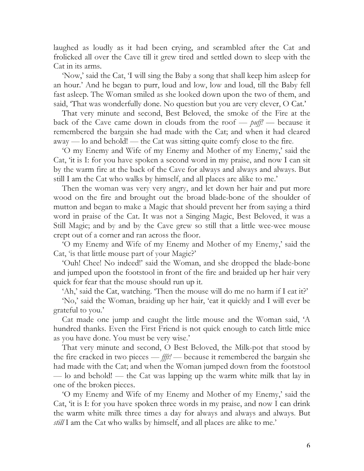laughed as loudly as it had been crying, and scrambled after the Cat and frolicked all over the Cave till it grew tired and settled down to sleep with the Cat in its arms.

'Now,' said the Cat, 'I will sing the Baby a song that shall keep him asleep for an hour.' And he began to purr, loud and low, low and loud, till the Baby fell fast asleep. The Woman smiled as she looked down upon the two of them, and said, 'That was wonderfully done. No question but you are very clever, O Cat.'

That very minute and second, Best Beloved, the smoke of the Fire at the back of the Cave came down in clouds from the roof — *puff!* — because it remembered the bargain she had made with the Cat; and when it had cleared away — lo and behold! — the Cat was sitting quite comfy close to the fire.

'O my Enemy and Wife of my Enemy and Mother of my Enemy,' said the Cat, 'it is I: for you have spoken a second word in my praise, and now I can sit by the warm fire at the back of the Cave for always and always and always. But still I am the Cat who walks by himself, and all places are alike to me.'

Then the woman was very very angry, and let down her hair and put more wood on the fire and brought out the broad blade-bone of the shoulder of mutton and began to make a Magic that should prevent her from saying a third word in praise of the Cat. It was not a Singing Magic, Best Beloved, it was a Still Magic; and by and by the Cave grew so still that a little wee-wee mouse crept out of a corner and ran across the floor.

'O my Enemy and Wife of my Enemy and Mother of my Enemy,' said the Cat, 'is that little mouse part of your Magic?'

'Ouh! Chee! No indeed!' said the Woman, and she dropped the blade-bone and jumped upon the footstool in front of the fire and braided up her hair very quick for fear that the mouse should run up it.

'Ah,' said the Cat, watching. 'Then the mouse will do me no harm if I eat it?'

'No,' said the Woman, braiding up her hair, 'eat it quickly and I will ever be grateful to you.'

Cat made one jump and caught the little mouse and the Woman said, 'A hundred thanks. Even the First Friend is not quick enough to catch little mice as you have done. You must be very wise.'

That very minute and second, O Best Beloved, the Milk-pot that stood by the fire cracked in two pieces — *ffft!* — because it remembered the bargain she had made with the Cat; and when the Woman jumped down from the footstool — lo and behold! — the Cat was lapping up the warm white milk that lay in one of the broken pieces.

'O my Enemy and Wife of my Enemy and Mother of my Enemy,' said the Cat, 'it is I: for you have spoken three words in my praise, and now I can drink the warm white milk three times a day for always and always and always. But *still* I am the Cat who walks by himself, and all places are alike to me.'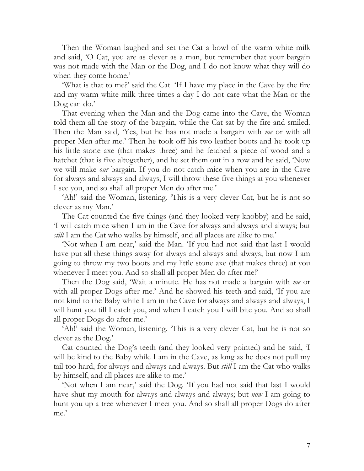Then the Woman laughed and set the Cat a bowl of the warm white milk and said, 'O Cat, you are as clever as a man, but remember that your bargain was not made with the Man or the Dog, and I do not know what they will do when they come home.'

'What is that to me?' said the Cat. 'If I have my place in the Cave by the fire and my warm white milk three times a day I do not care what the Man or the Dog can do.'

That evening when the Man and the Dog came into the Cave, the Woman told them all the story of the bargain, while the Cat sat by the fire and smiled. Then the Man said, 'Yes, but he has not made a bargain with *me* or with all proper Men after me.' Then he took off his two leather boots and he took up his little stone axe (that makes three) and he fetched a piece of wood and a hatchet (that is five altogether), and he set them out in a row and he said, 'Now we will make *our* bargain. If you do not catch mice when you are in the Cave for always and always and always, I will throw these five things at you whenever I see you, and so shall all proper Men do after me.'

'Ah!' said the Woman, listening. 'This is a very clever Cat, but he is not so clever as my Man.'

The Cat counted the five things (and they looked very knobby) and he said, 'I will catch mice when I am in the Cave for always and always and always; but *still* I am the Cat who walks by himself, and all places are alike to me.'

'Not when I am near,' said the Man. 'If you had not said that last I would have put all these things away for always and always and always; but now I am going to throw my two boots and my little stone axe (that makes three) at you whenever I meet you. And so shall all proper Men do after me!'

Then the Dog said, 'Wait a minute. He has not made a bargain with *me* or with all proper Dogs after me.' And he showed his teeth and said, 'If you are not kind to the Baby while I am in the Cave for always and always and always, I will hunt you till I catch you, and when I catch you I will bite you. And so shall all proper Dogs do after me.'

'Ah!' said the Woman, listening. 'This is a very clever Cat, but he is not so clever as the Dog.'

Cat counted the Dog's teeth (and they looked very pointed) and he said, 'I will be kind to the Baby while I am in the Cave, as long as he does not pull my tail too hard, for always and always and always. But *still* I am the Cat who walks by himself, and all places are alike to me.'

'Not when I am near,' said the Dog. 'If you had not said that last I would have shut my mouth for always and always and always; but *now* I am going to hunt you up a tree whenever I meet you. And so shall all proper Dogs do after me.'